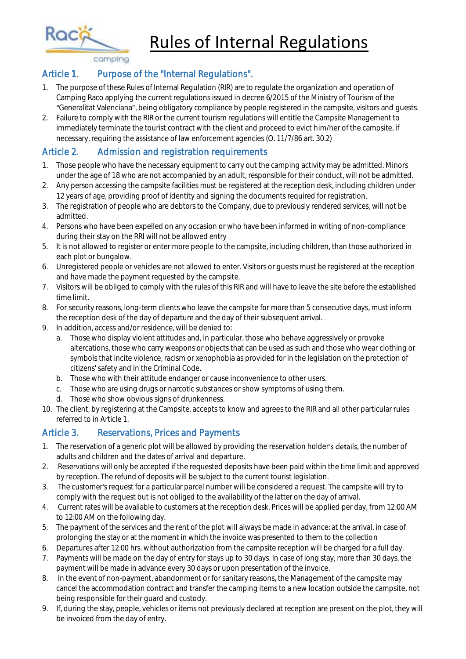Rules of Internal Regulations

camping

Raci

### Article 1. Purpose of the "Internal Regulations".

- 1. The purpose of these Rules of Internal Regulation (RIR) are to regulate the organization and operation of Camping Raco applying the current regulations issued in decree 6/2015 of the Ministry of Tourism of the "Generalitat Valenciana", being obligatory compliance by people registered in the campsite, visitors and quests.
- 2. Failure to comply with the RIR or the current tourism regulations will entitle the Campsite Management to immediately terminate the tourist contract with the client and proceed to evict him/her of the campsite, if necessary, requiring the assistance of law enforcement agencies (O. 11/7/86 art. 30.2)

# Article 2. Admission and registration requirements

- 1. Those people who have the necessary equipment to carry out the camping activity may be admitted. Minors under the age of 18 who are not accompanied by an adult, responsible for their conduct, will not be admitted.
- 2. Any person accessing the campsite facilities must be registered at the reception desk, including children under 12 years of age, providing proof of identity and signing the documents required for registration.
- 3. The registration of people who are debtors to the Company, due to previously rendered services, will not be admitted.
- 4. Persons who have been expelled on any occasion or who have been informed in writing of non-compliance during their stay on the RRI will not be allowed entry
- 5. It is not allowed to register or enter more people to the campsite, including children, than those authorized in each plot or bungalow.
- 6. Unregistered people or vehicles are not allowed to enter. Visitors or guests must be registered at the reception and have made the payment requested by the campsite.
- 7. Visitors will be obliged to comply with the rules of this RIR and will have to leave the site before the established time limit.
- 8. For security reasons, long-term clients who leave the campsite for more than 5 consecutive days, must inform the reception desk of the day of departure and the day of their subsequent arrival.
- 9. In addition, access and/or residence, will be denied to:
	- a. Those who display violent attitudes and, in particular, those who behave aggressively or provoke altercations, those who carry weapons or objects that can be used as such and those who wear clothing or symbols that incite violence, racism or xenophobia as provided for in the legislation on the protection of citizens' safety and in the Criminal Code.
	- b. Those who with their attitude endanger or cause inconvenience to other users.
	- c. Those who are using drugs or narcotic substances or show symptoms of using them.
	- d. Those who show obvious signs of drunkenness.
- 10. The client, by registering at the Campsite, accepts to know and agrees to the RIR and all other particular rules referred to in Article 1.

## Article 3. Reservations, Prices and Payments

- 1. The reservation of a generic plot will be allowed by providing the reservation holder's details, the number of adults and children and the dates of arrival and departure.
- 2. Reservations will only be accepted if the requested deposits have been paid within the time limit and approved by reception. The refund of deposits will be subject to the current tourist legislation.
- 3. The customer's request for a particular parcel number will be considered a request. The campsite will try to comply with the request but is not obliged to the availability of the latter on the day of arrival.
- 4. Current rates will be available to customers at the reception desk. Prices will be applied per day, from 12:00 AM to 12:00 AM on the following day.
- 5. The payment of the services and the rent of the plot will always be made in advance: at the arrival, in case of prolonging the stay or at the moment in which the invoice was presented to them to the collection
- 6. Departures after 12:00 hrs. without authorization from the campsite reception will be charged for a full day.
- 7. Payments will be made on the day of entry for stays up to 30 days. In case of long stay, more than 30 days, the payment will be made in advance every 30 days or upon presentation of the invoice.
- 8. In the event of non-payment, abandonment or for sanitary reasons, the Management of the campsite may cancel the accommodation contract and transfer the camping items to a new location outside the campsite, not being responsible for their guard and custody.
- 9. If, during the stay, people, vehicles or items not previously declared at reception are present on the plot, they will be invoiced from the day of entry.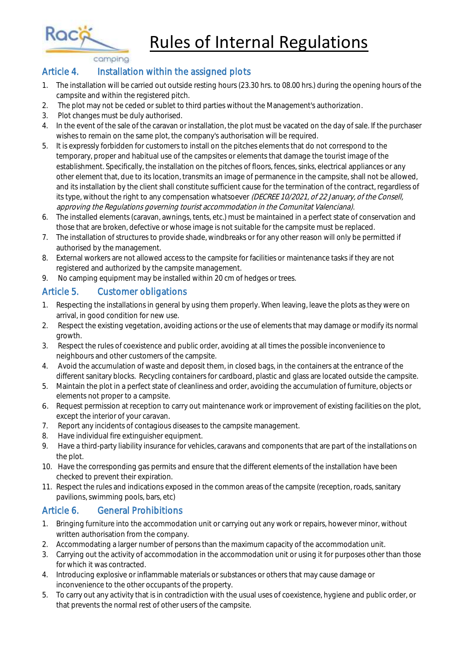Rules of Internal Regulations

camping

Rac

#### Article 4. Installation within the assigned plots

- 1. The installation will be carried out outside resting hours (23.30 hrs. to 08.00 hrs.) during the opening hours of the campsite and within the registered pitch.
- 2. The plot may not be ceded or sublet to third parties without the Management's authorization.
- 3. Plot changes must be duly authorised.
- 4. In the event of the sale of the caravan or installation, the plot must be vacated on the day of sale. If the purchaser wishes to remain on the same plot, the company's authorisation will be required.
- 5. It is expressly forbidden for customers to install on the pitches elements that do not correspond to the temporary, proper and habitual use of the campsites or elements that damage the tourist image of the establishment. Specifically, the installation on the pitches of floors, fences, sinks, electrical appliances or any other element that, due to its location, transmits an image of permanence in the campsite, shall not be allowed, and its installation by the client shall constitute sufficient cause for the termination of the contract, regardless of its type, without the right to any compensation whatsoever (DECREE 10/2021, of 22 January, of the Consell, approving the Regulations governing tourist accommodation in the Comunitat Valenciana).
- 6. The installed elements (caravan, awnings, tents, etc.) must be maintained in a perfect state of conservation and those that are broken, defective or whose image is not suitable for the campsite must be replaced.
- 7. The installation of structures to provide shade, windbreaks or for any other reason will only be permitted if authorised by the management.
- 8. External workers are not allowed access to the campsite for facilities or maintenance tasks if they are not registered and authorized by the campsite management.
- 9. No camping equipment may be installed within 20 cm of hedges or trees.

## Article 5. Customer obligations

- 1. Respecting the installations in general by using them properly. When leaving, leave the plots as they were on arrival, in good condition for new use.
- 2. Respect the existing vegetation, avoiding actions or the use of elements that may damage or modify its normal growth.
- 3. Respect the rules of coexistence and public order, avoiding at all times the possible inconvenience to neighbours and other customers of the campsite.
- 4. Avoid the accumulation of waste and deposit them, in closed bags, in the containers at the entrance of the different sanitary blocks. Recycling containers for cardboard, plastic and glass are located outside the campsite.
- 5. Maintain the plot in a perfect state of cleanliness and order, avoiding the accumulation of furniture, objects or elements not proper to a campsite.
- 6. Request permission at reception to carry out maintenance work or improvement of existing facilities on the plot, except the interior of your caravan.
- 7. Report any incidents of contagious diseases to the campsite management.
- 8. Have individual fire extinguisher equipment.
- 9. Have a third-party liability insurance for vehicles, caravans and components that are part of the installations on the plot.
- 10. Have the corresponding gas permits and ensure that the different elements of the installation have been checked to prevent their expiration.
- 11. Respect the rules and indications exposed in the common areas of the campsite (reception, roads, sanitary pavilions, swimming pools, bars, etc)

### Article 6. General Prohibitions

- 1. Bringing furniture into the accommodation unit or carrying out any work or repairs, however minor, without written authorisation from the company.
- 2. Accommodating a larger number of persons than the maximum capacity of the accommodation unit.
- 3. Carrying out the activity of accommodation in the accommodation unit or using it for purposes other than those for which it was contracted.
- 4. Introducing explosive or inflammable materials or substances or others that may cause damage or inconvenience to the other occupants of the property.
- 5. To carry out any activity that is in contradiction with the usual uses of coexistence, hygiene and public order, or that prevents the normal rest of other users of the campsite.